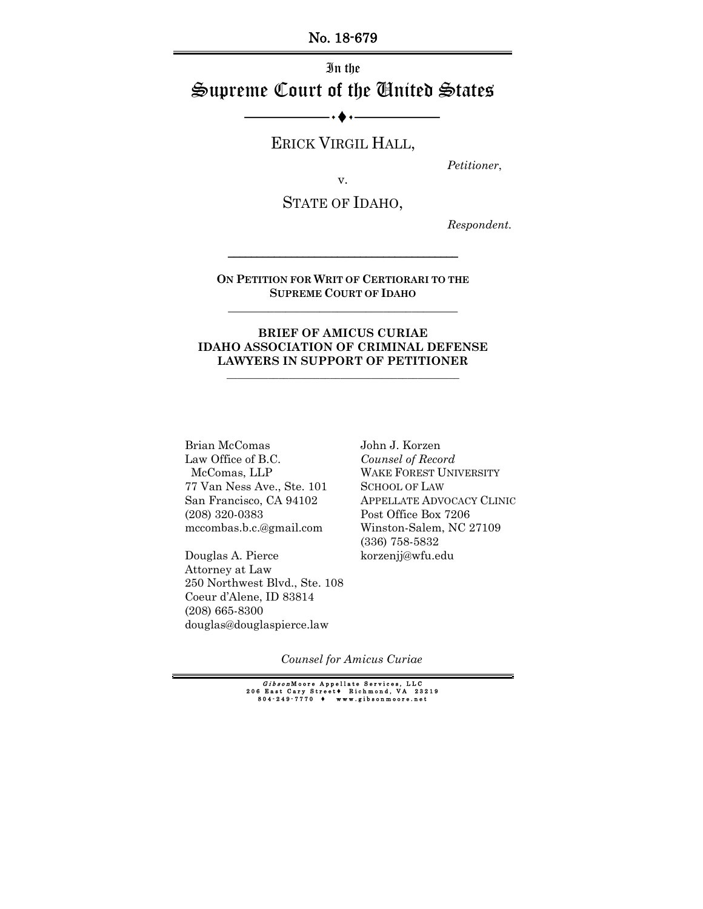No. 18-679

# In the Supreme Court of the United States

ERICK VIRGIL HALL,

*Petitioner*,

v.

STATE OF IDAHO,

*Respondent.*

**ON PETITION FOR WRIT OF CERTIORARI TO THE SUPREME COURT OF IDAHO \_\_\_\_\_\_\_\_\_\_\_\_\_\_\_\_\_\_\_\_\_\_\_\_\_\_\_\_\_\_\_\_\_\_\_\_\_\_\_\_**

\_\_\_\_\_\_\_\_\_\_\_\_\_\_\_\_\_\_\_\_\_\_\_\_\_\_\_\_\_\_\_\_\_\_\_\_\_\_\_\_

#### **BRIEF OF AMICUS CURIAE IDAHO ASSOCIATION OF CRIMINAL DEFENSE LAWYERS IN SUPPORT OF PETITIONER**

**\_\_\_\_\_\_\_\_\_\_\_\_\_\_\_\_\_\_\_\_\_\_\_\_\_\_\_\_\_\_\_\_\_\_\_\_\_\_\_\_\_\_\_\_\_**

Brian McComas Law Office of B.C. McComas, LLP 77 Van Ness Ave., Ste. 101 San Francisco, CA 94102 (208) 320-0383 mccombas.b.c.@gmail.com

Douglas A. Pierce Attorney at Law 250 Northwest Blvd., Ste. 108 Coeur d'Alene, ID 83814 (208) 665-8300 douglas@douglaspierce.law

John J. Korzen *Counsel of Record* WAKE FOREST UNIVERSITY SCHOOL OF LAW APPELLATE ADVOCACY CLINIC Post Office Box 7206 Winston-Salem, NC 27109 (336) 758-5832 korzenjj@wfu.edu

*Counsel for Amicus Curiae*

G*ibson* Moore Appellate Services, LLC<br>206 East Cary Street♦ Richmond, VA 23219<br>804–249–7770 ♦ www.gibsonmoore.net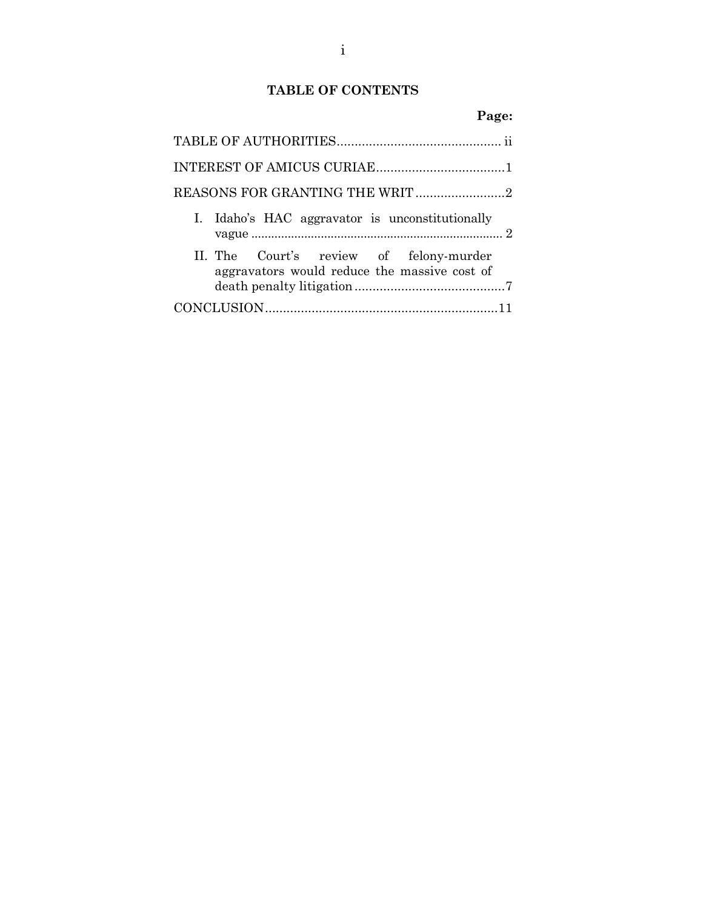## **TABLE OF CONTENTS**

### **Page:**

| I. Idaho's HAC aggravator is unconstitutionally                                         |  |
|-----------------------------------------------------------------------------------------|--|
| II. The Court's review of felony-murder<br>aggravators would reduce the massive cost of |  |
|                                                                                         |  |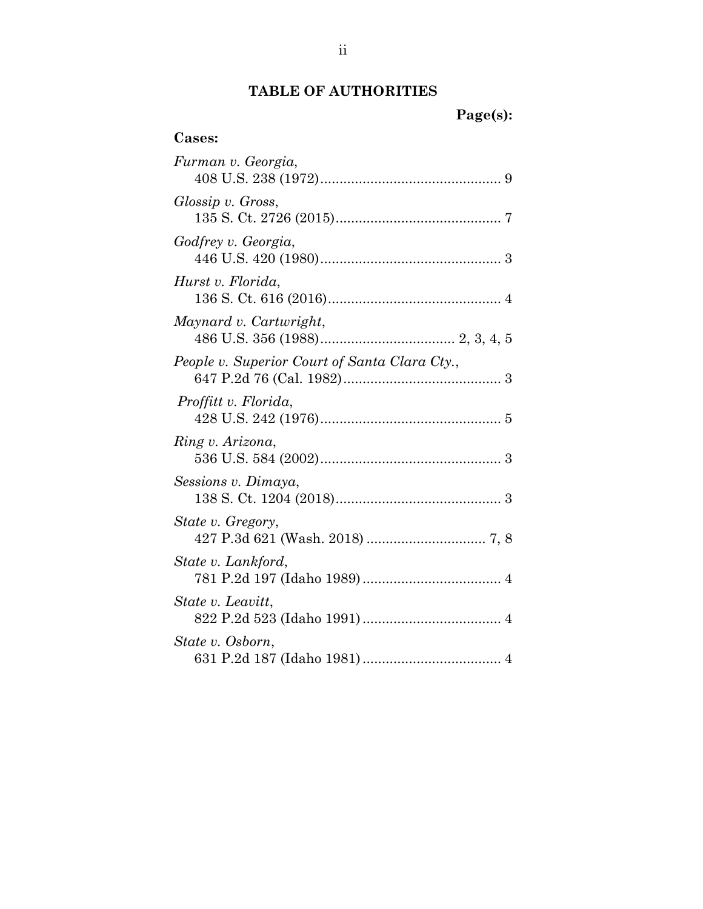## **TABLE OF AUTHORITIE[S](#page-5-0)**

# **Page(s):**

## **Cases:**

| Furman v. Georgia,                            |
|-----------------------------------------------|
| Glossip v. Gross,                             |
| Godfrey v. Georgia,                           |
| Hurst v. Florida,                             |
| Maynard v. Cartwright,                        |
| People v. Superior Court of Santa Clara Cty., |
| Proffitt v. Florida,                          |
| Ring v. Arizona,                              |
| Sessions v. Dimaya,                           |
| State v. Gregory,                             |
| State v. Lankford,                            |
| State v. Leavitt,                             |
| <i>State v. Osborn,</i>                       |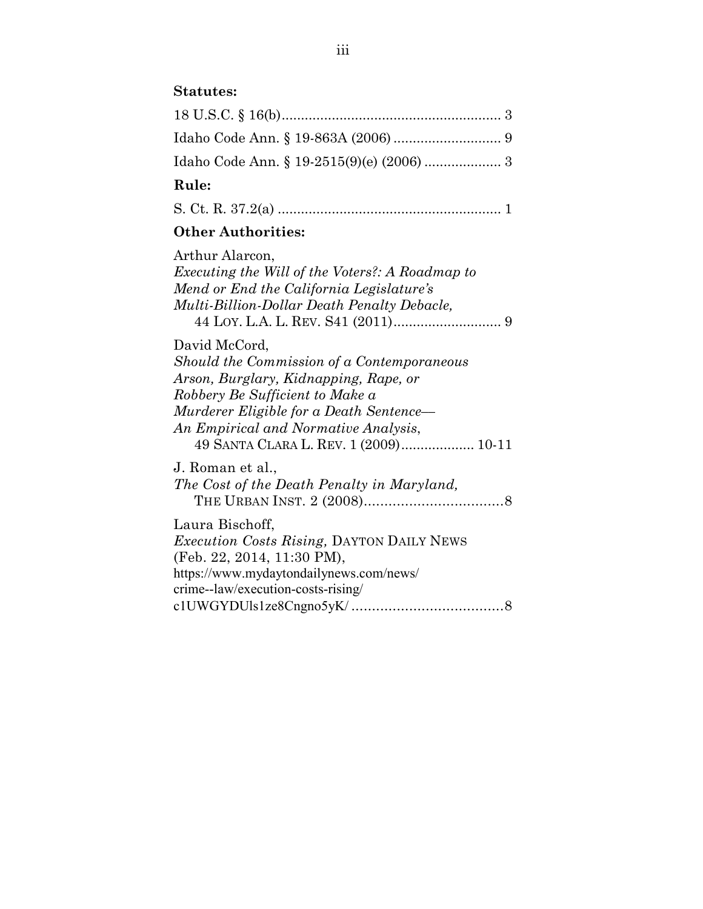## **Statutes:**

| Rule: |  |
|-------|--|
|       |  |
|       |  |
|       |  |

S. Ct. R. 37.2(a) .......................................................... 1

# **Other Authorities:**

| Arthur Alarcon,                                        |
|--------------------------------------------------------|
| <i>Executing the Will of the Voters?: A Roadmap to</i> |
| Mend or End the California Legislature's               |
| Multi-Billion-Dollar Death Penalty Debacle,            |
|                                                        |
| David McCord,                                          |
| Should the Commission of a Contemporaneous             |
| Arson, Burglary, Kidnapping, Rape, or                  |
| Robbery Be Sufficient to Make a                        |
| Murderer Eligible for a Death Sentence—                |
| An Empirical and Normative Analysis,                   |
| 49 SANTA CLARA L. REV. 1 (2009) 10-11                  |
| J. Roman et al.,                                       |
| The Cost of the Death Penalty in Maryland,             |
|                                                        |
| Laura Bischoff,                                        |
| Execution Costs Rising, DAYTON DAILY NEWS              |
| (Feb. 22, 2014, 11:30 PM),                             |
| https://www.mydaytondailynews.com/news/                |
| crime--law/execution-costs-rising/                     |
| 8                                                      |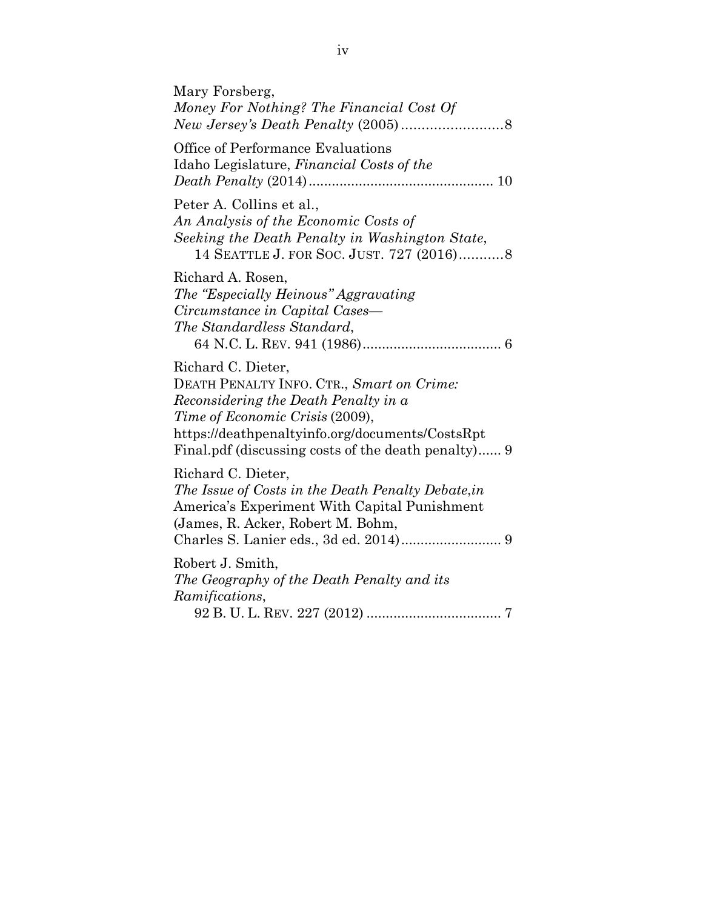| Mary Forsberg,<br>Money For Nothing? The Financial Cost Of                                                                                                                                                                                           |
|------------------------------------------------------------------------------------------------------------------------------------------------------------------------------------------------------------------------------------------------------|
| Office of Performance Evaluations<br>Idaho Legislature, Financial Costs of the                                                                                                                                                                       |
| Peter A. Collins et al.,<br>An Analysis of the Economic Costs of<br>Seeking the Death Penalty in Washington State,<br>14 SEATTLE J. FOR SOC. JUST. 727 (2016) 8                                                                                      |
| Richard A. Rosen,<br>The "Especially Heinous" Aggravating<br>Circumstance in Capital Cases—<br>The Standardless Standard,                                                                                                                            |
| Richard C. Dieter,<br>DEATH PENALTY INFO. CTR., Smart on Crime:<br>Reconsidering the Death Penalty in a<br>Time of Economic Crisis (2009),<br>https://deathpenaltyinfo.org/documents/CostsRpt<br>Final.pdf (discussing costs of the death penalty) 9 |
| Richard C. Dieter,<br>The Issue of Costs in the Death Penalty Debate, in<br>America's Experiment With Capital Punishment<br>(James, R. Acker, Robert M. Bohm,<br>Charles S. Lanier eds., 3d ed. 2014) 9                                              |
| Robert J. Smith,<br>The Geography of the Death Penalty and its<br>Ramifications,                                                                                                                                                                     |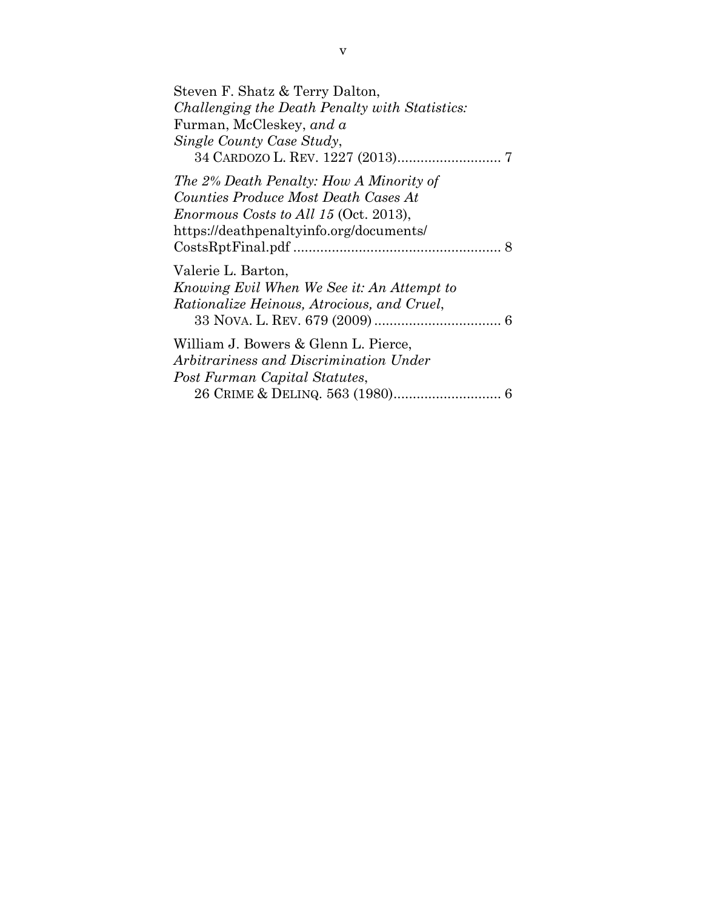<span id="page-5-0"></span>

| Steven F. Shatz & Terry Dalton,                   |
|---------------------------------------------------|
| Challenging the Death Penalty with Statistics:    |
| Furman, McCleskey, and a                          |
| Single County Case Study,                         |
|                                                   |
| The 2% Death Penalty: How A Minority of           |
| Counties Produce Most Death Cases At              |
| <i>Enormous Costs to All 15</i> (Oct. 2013),      |
| https://deathpenaltyinfo.org/documents/           |
|                                                   |
| Valerie L. Barton,                                |
| Knowing Evil When We See it: An Attempt to        |
| <i>Rationalize Heinous, Atrocious, and Cruel,</i> |
|                                                   |
| William J. Bowers & Glenn L. Pierce,              |
| Arbitrariness and Discrimination Under            |
| Post Furman Capital Statutes,                     |
|                                                   |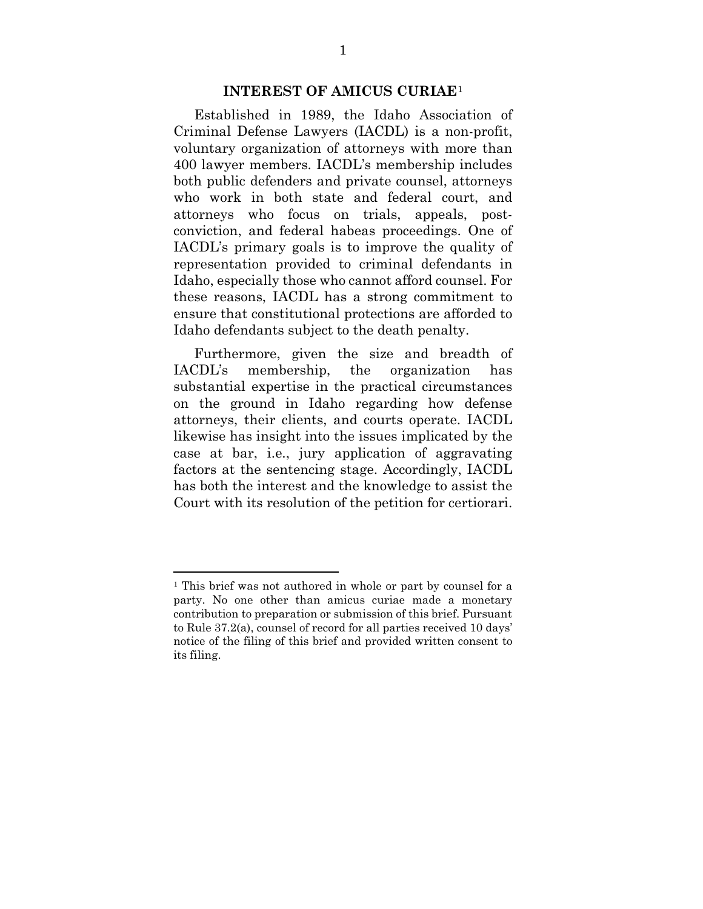#### **INTEREST OF AMICUS CURIAE**[1](#page-6-0)

Established in 1989, the Idaho Association of Criminal Defense Lawyers (IACDL) is a non-profit, voluntary organization of attorneys with more than 400 lawyer members. IACDL's membership includes both public defenders and private counsel, attorneys who work in both state and federal court, and attorneys who focus on trials, appeals, postconviction, and federal habeas proceedings. One of IACDL's primary goals is to improve the quality of representation provided to criminal defendants in Idaho, especially those who cannot afford counsel. For these reasons, IACDL has a strong commitment to ensure that constitutional protections are afforded to Idaho defendants subject to the death penalty.

Furthermore, given the size and breadth of IACDL's membership, the organization has substantial expertise in the practical circumstances on the ground in Idaho regarding how defense attorneys, their clients, and courts operate. IACDL likewise has insight into the issues implicated by the case at bar, i.e., jury application of aggravating factors at the sentencing stage. Accordingly, IACDL has both the interest and the knowledge to assist the Court with its resolution of the petition for certiorari.

 $\overline{a}$ 

<span id="page-6-0"></span><sup>&</sup>lt;sup>1</sup> This brief was not authored in whole or part by counsel for a party. No one other than amicus curiae made a monetary contribution to preparation or submission of this brief. Pursuant to Rule 37.2(a), counsel of record for all parties received 10 days' notice of the filing of this brief and provided written consent to its filing.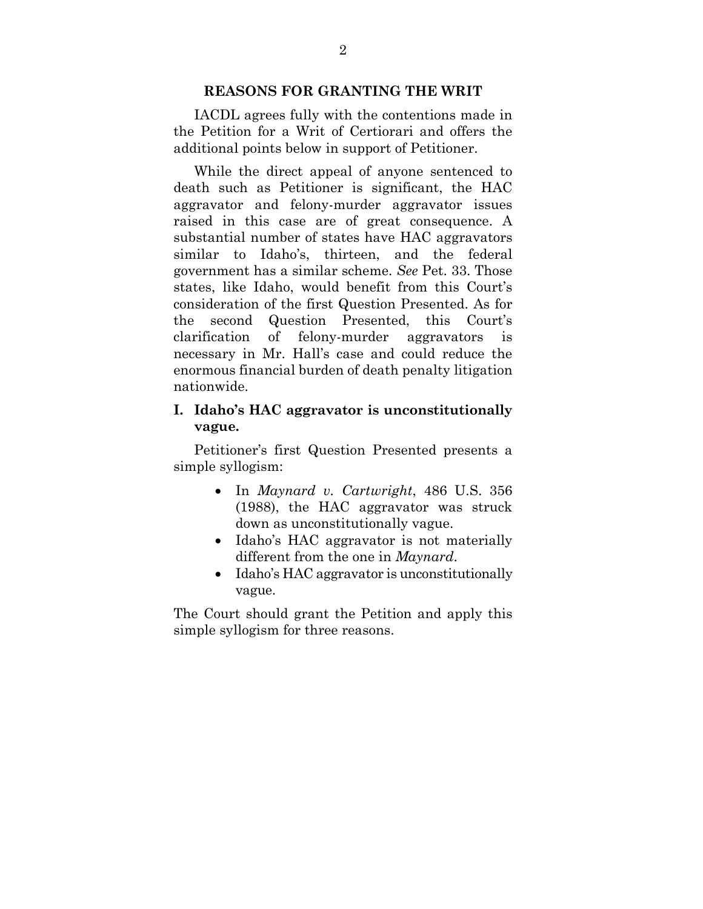### **REASONS FOR GRANTING THE WRIT**

IACDL agrees fully with the contentions made in the Petition for a Writ of Certiorari and offers the additional points below in support of Petitioner.

While the direct appeal of anyone sentenced to death such as Petitioner is significant, the HAC aggravator and felony-murder aggravator issues raised in this case are of great consequence. A substantial number of states have HAC aggravators similar to Idaho's, thirteen, and the federal government has a similar scheme. *See* Pet. 33. Those states, like Idaho, would benefit from this Court's consideration of the first Question Presented. As for the second Question Presented, this Court's clarification of felony-murder aggravators is necessary in Mr. Hall's case and could reduce the enormous financial burden of death penalty litigation nationwide.

### **I. Idaho's HAC aggravator is unconstitutionally vague.**

Petitioner's first Question Presented presents a simple syllogism:

- In *Maynard v. Cartwright*, 486 U.S. 356 (1988), the HAC aggravator was struck down as unconstitutionally vague.
- Idaho's HAC aggravator is not materially different from the one in *Maynard*.
- Idaho's HAC aggravator is unconstitutionally vague.

The Court should grant the Petition and apply this simple syllogism for three reasons.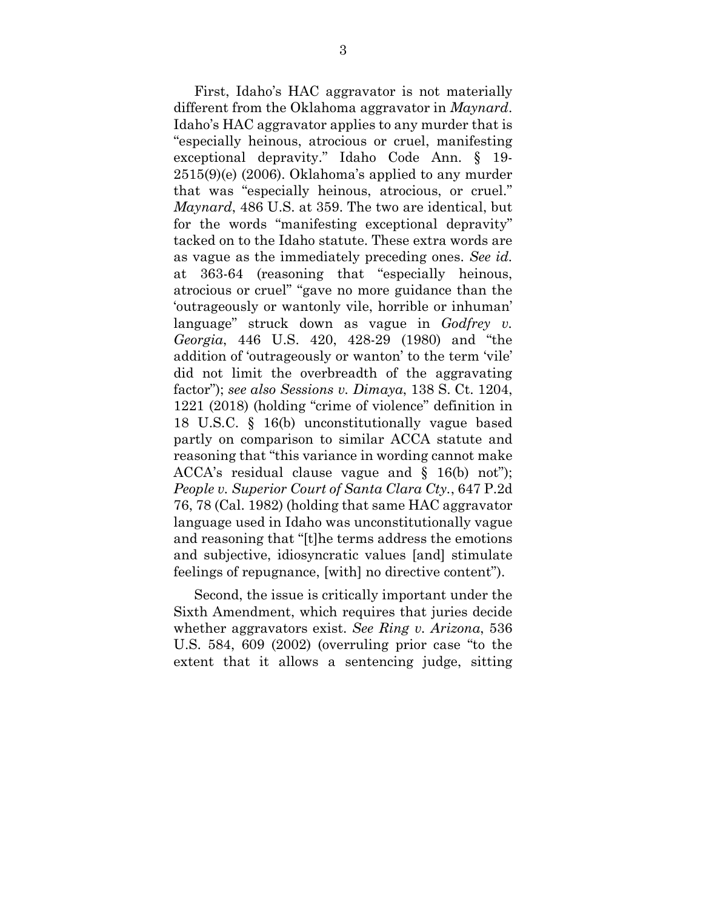First, Idaho's HAC aggravator is not materially different from the Oklahoma aggravator in *Maynard*. Idaho's HAC aggravator applies to any murder that is "especially heinous, atrocious or cruel, manifesting exceptional depravity." Idaho Code Ann. § 19- 2515(9)(e) (2006). Oklahoma's applied to any murder that was "especially heinous, atrocious, or cruel." *Maynard*, 486 U.S. at 359. The two are identical, but for the words "manifesting exceptional depravity" tacked on to the Idaho statute. These extra words are as vague as the immediately preceding ones. *See id.* at 363-64 (reasoning that "especially heinous, atrocious or cruel" "gave no more guidance than the 'outrageously or wantonly vile, horrible or inhuman' language" struck down as vague in *Godfrey v. Georgia*, 446 U.S. 420, 428-29 (1980) and "the addition of 'outrageously or wanton' to the term 'vile' did not limit the overbreadth of the aggravating factor"); *see also Sessions v. Dimaya*, 138 S. Ct. 1204, 1221 (2018) (holding "crime of violence" definition in 18 U.S.C. § 16(b) unconstitutionally vague based partly on comparison to similar ACCA statute and reasoning that "this variance in wording cannot make ACCA's residual clause vague and § 16(b) not"); *People v. Superior Court of Santa Clara Cty.*, 647 P.2d 76, 78 (Cal. 1982) (holding that same HAC aggravator language used in Idaho was unconstitutionally vague and reasoning that "[t]he terms address the emotions and subjective, idiosyncratic values [and] stimulate feelings of repugnance, [with] no directive content").

 Second, the issue is critically important under the Sixth Amendment, which requires that juries decide whether aggravators exist. *See Ring v. Arizona*, 536 U.S. 584, 609 (2002) (overruling prior case "to the extent that it allows a sentencing judge, sitting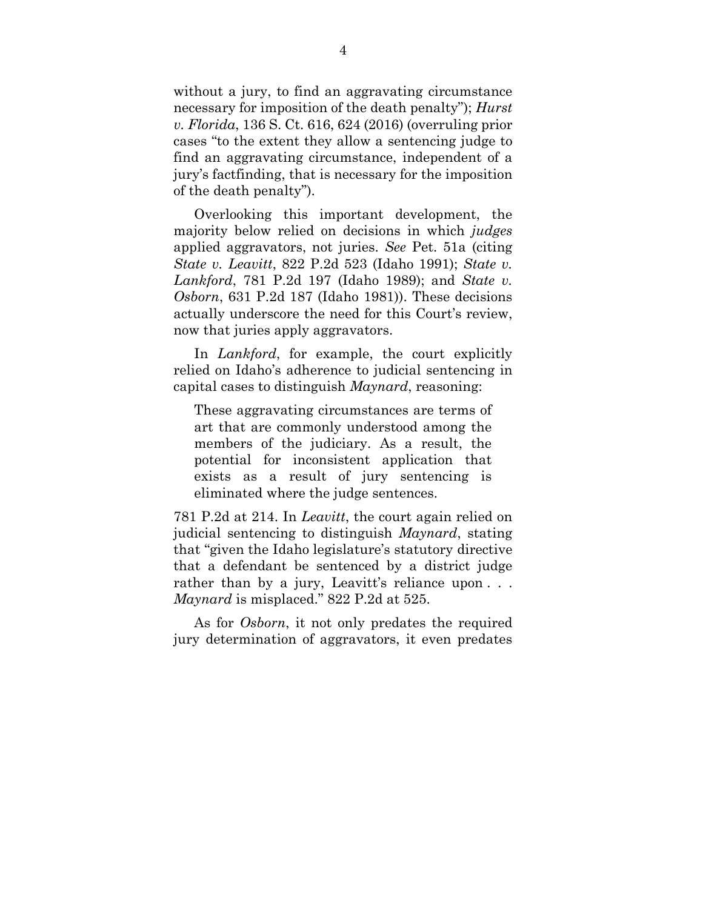without a jury, to find an aggravating circumstance necessary for imposition of the death penalty"); *Hurst v. Florida*, 136 S. Ct. 616, 624 (2016) (overruling prior cases "to the extent they allow a sentencing judge to find an aggravating circumstance, independent of a jury's factfinding, that is necessary for the imposition of the death penalty").

Overlooking this important development, the majority below relied on decisions in which *judges* applied aggravators, not juries. *See* Pet. 51a (citing *State v. Leavitt*, 822 P.2d 523 (Idaho 1991); *State v. Lankford*, 781 P.2d 197 (Idaho 1989); and *State v. Osborn*, 631 P.2d 187 (Idaho 1981)). These decisions actually underscore the need for this Court's review, now that juries apply aggravators.

In *Lankford*, for example, the court explicitly relied on Idaho's adherence to judicial sentencing in capital cases to distinguish *Maynard*, reasoning:

These aggravating circumstances are terms of art that are commonly understood among the members of the judiciary. As a result, the potential for inconsistent application that exists as a result of jury sentencing is eliminated where the judge sentences.

781 P.2d at 214. In *Leavitt*, the court again relied on judicial sentencing to distinguish *Maynard*, stating that "given the Idaho legislature's statutory directive that a defendant be sentenced by a district judge rather than by a jury, Leavitt's reliance upon . . . *Maynard* is misplaced." 822 P.2d at 525.

As for *Osborn*, it not only predates the required jury determination of aggravators, it even predates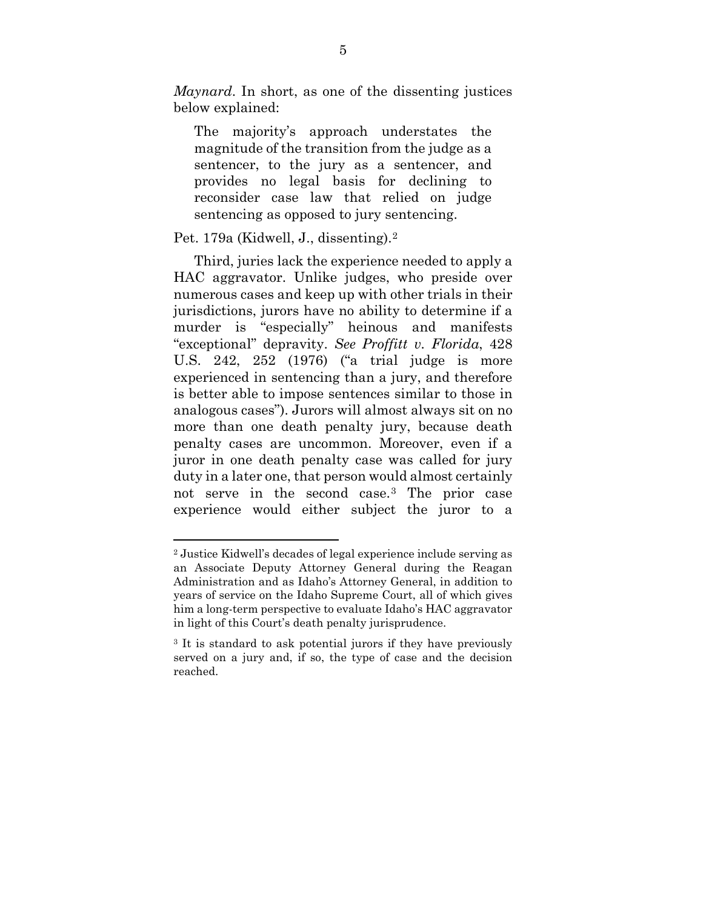*Maynard*. In short, as one of the dissenting justices below explained:

The majority's approach understates the magnitude of the transition from the judge as a sentencer, to the jury as a sentencer, and provides no legal basis for declining to reconsider case law that relied on judge sentencing as opposed to jury sentencing.

### Pet. 179a (Kidwell, J., dissenting).[2](#page-10-0)

 $\overline{a}$ 

Third, juries lack the experience needed to apply a HAC aggravator. Unlike judges, who preside over numerous cases and keep up with other trials in their jurisdictions, jurors have no ability to determine if a murder is "especially" heinous and manifests "exceptional" depravity. *See Proffitt v. Florida*, 428 U.S. 242, 252 (1976) ("a trial judge is more experienced in sentencing than a jury, and therefore is better able to impose sentences similar to those in analogous cases"). Jurors will almost always sit on no more than one death penalty jury, because death penalty cases are uncommon. Moreover, even if a juror in one death penalty case was called for jury duty in a later one, that person would almost certainly not serve in the second case.[3](#page-10-1) The prior case experience would either subject the juror to a

<span id="page-10-0"></span><sup>2</sup> Justice Kidwell's decades of legal experience include serving as an Associate Deputy Attorney General during the Reagan Administration and as Idaho's Attorney General, in addition to years of service on the Idaho Supreme Court, all of which gives him a long-term perspective to evaluate Idaho's HAC aggravator in light of this Court's death penalty jurisprudence.

<span id="page-10-1"></span><sup>3</sup> It is standard to ask potential jurors if they have previously served on a jury and, if so, the type of case and the decision reached.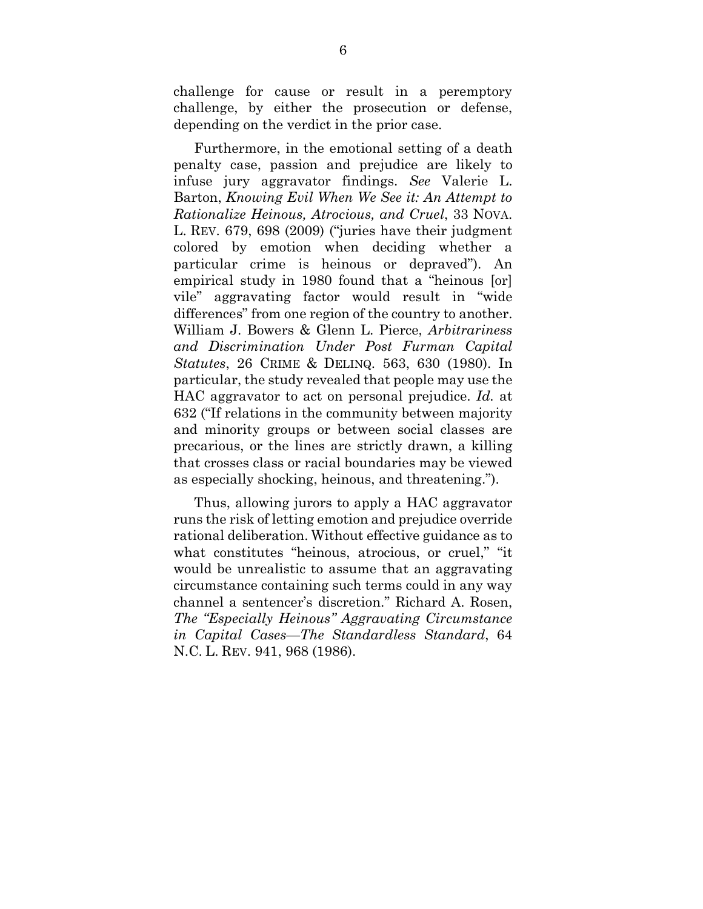challenge for cause or result in a peremptory challenge, by either the prosecution or defense, depending on the verdict in the prior case.

Furthermore, in the emotional setting of a death penalty case, passion and prejudice are likely to infuse jury aggravator findings. *See* Valerie L. Barton, *Knowing Evil When We See it: An Attempt to Rationalize Heinous, Atrocious, and Cruel*, 33 NOVA. L. REV. 679, 698 (2009) ("juries have their judgment colored by emotion when deciding whether a particular crime is heinous or depraved"). An empirical study in 1980 found that a "heinous [or] vile" aggravating factor would result in "wide differences" from one region of the country to another. William J. Bowers & Glenn L. Pierce, *Arbitrariness and Discrimination Under Post Furman Capital Statutes*, 26 CRIME & DELINQ. 563, 630 (1980). In particular, the study revealed that people may use the HAC aggravator to act on personal prejudice. *Id.* at 632 ("If relations in the community between majority and minority groups or between social classes are precarious, or the lines are strictly drawn, a killing that crosses class or racial boundaries may be viewed as especially shocking, heinous, and threatening.").

Thus, allowing jurors to apply a HAC aggravator runs the risk of letting emotion and prejudice override rational deliberation. Without effective guidance as to what constitutes "heinous, atrocious, or cruel," "it would be unrealistic to assume that an aggravating circumstance containing such terms could in any way channel a sentencer's discretion." Richard A. Rosen, *The "Especially Heinous" Aggravating Circumstance in Capital Cases—The Standardless Standard*, 64 N.C. L. REV. 941, 968 (1986).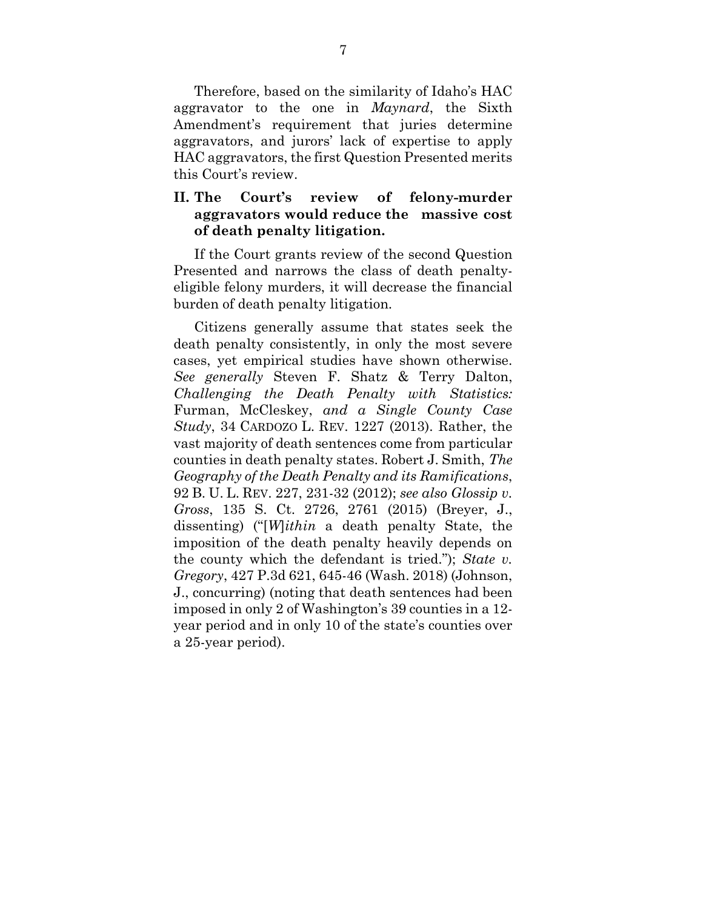Therefore, based on the similarity of Idaho's HAC aggravator to the one in *Maynard*, the Sixth Amendment's requirement that juries determine aggravators, and jurors' lack of expertise to apply HAC aggravators, the first Question Presented merits this Court's review.

### **II. The Court's review of felony-murder aggravators would reduce the massive cost of death penalty litigation.**

If the Court grants review of the second Question Presented and narrows the class of death penaltyeligible felony murders, it will decrease the financial burden of death penalty litigation.

Citizens generally assume that states seek the death penalty consistently, in only the most severe cases, yet empirical studies have shown otherwise. *See generally* Steven F. Shatz & Terry Dalton, *Challenging the Death Penalty with Statistics:* Furman, McCleskey, *and a Single County Case Study*, 34 CARDOZO L. REV. 1227 (2013). Rather, the vast majority of death sentences come from particular counties in death penalty states. Robert J. Smith, *The Geography of the Death Penalty and its Ramifications*, 92 B. U. L. REV. 227, 231-32 (2012); *see also Glossip v. Gross*, 135 S. Ct. 2726, 2761 (2015) (Breyer, J., dissenting) ("[*W*]*ithin* a death penalty State, the imposition of the death penalty heavily depends on the county which the defendant is tried."); *State v. Gregory*, 427 P.3d 621, 645-46 (Wash. 2018) (Johnson, J., concurring) (noting that death sentences had been imposed in only 2 of Washington's 39 counties in a 12 year period and in only 10 of the state's counties over a 25-year period).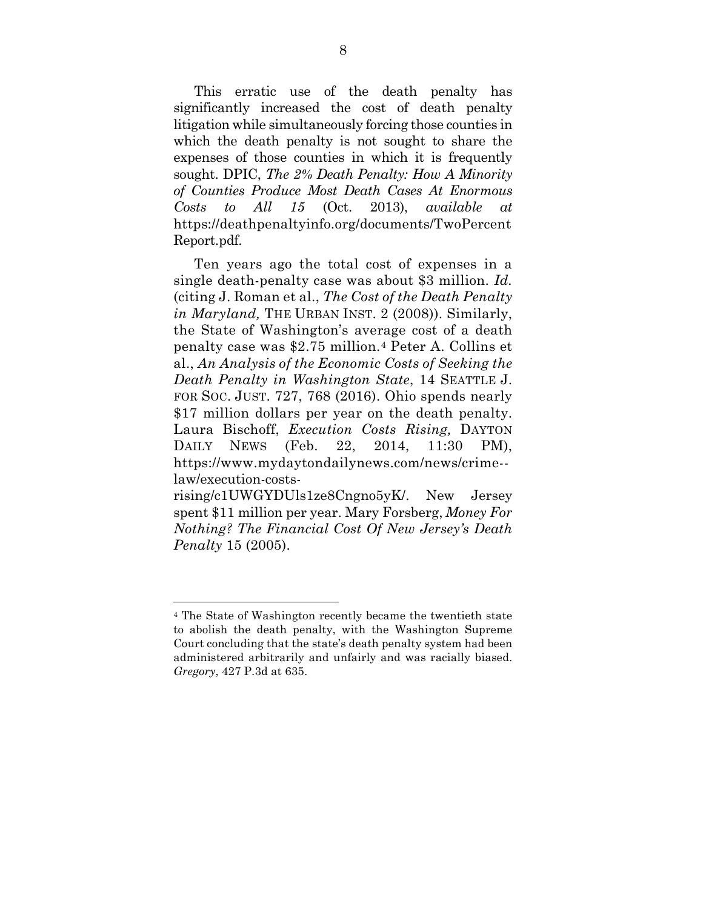This erratic use of the death penalty has significantly increased the cost of death penalty litigation while simultaneously forcing those counties in which the death penalty is not sought to share the expenses of those counties in which it is frequently sought. DPIC, *The 2% Death Penalty: How A Minority of Counties Produce Most Death Cases At Enormous Costs to All 15* (Oct. 2013), *available at* https://deathpenaltyinfo.org/documents/TwoPercent Report.pdf.

Ten years ago the total cost of expenses in a single death-penalty case was about \$3 million. *Id.*  (citing J. Roman et al., *The Cost of the Death Penalty in Maryland,* THE URBAN INST. 2 (2008)). Similarly, the State of Washington's average cost of a death penalty case was \$2.75 million.[4](#page-13-0) Peter A. Collins et al., *An Analysis of the Economic Costs of Seeking the Death Penalty in Washington State*, 14 SEATTLE J. FOR SOC. JUST. 727, 768 (2016). Ohio spends nearly \$17 million dollars per year on the death penalty. Laura Bischoff, *Execution Costs Rising,* DAYTON DAILY NEWS (Feb. 22, 2014, 11:30 PM), https://www.mydaytondailynews.com/news/crime- law/execution-costs-

rising/c1UWGYDUls1ze8Cngno5yK/. New Jersey spent \$11 million per year. Mary Forsberg, *Money For Nothing? The Financial Cost Of New Jersey's Death Penalty* 15 (2005).

 $\overline{a}$ 

<span id="page-13-0"></span><sup>4</sup> The State of Washington recently became the twentieth state to abolish the death penalty, with the Washington Supreme Court concluding that the state's death penalty system had been administered arbitrarily and unfairly and was racially biased. *Gregory*, 427 P.3d at 635.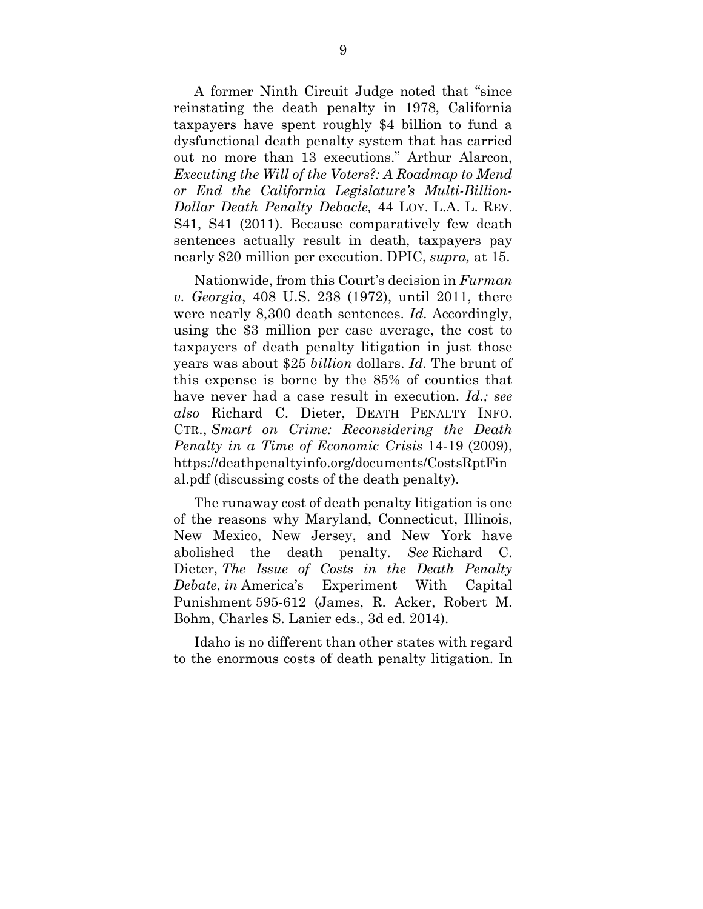A former Ninth Circuit Judge noted that "since reinstating the death penalty in 1978, California taxpayers have spent roughly \$4 billion to fund a dysfunctional death penalty system that has carried out no more than 13 executions." Arthur Alarcon, *Executing the Will of the Voters?: A Roadmap to Mend or End the California Legislature's Multi-Billion-Dollar Death Penalty Debacle,* 44 LOY. L.A. L. REV. S41, S41 (2011)*.* Because comparatively few death sentences actually result in death, taxpayers pay nearly \$20 million per execution. DPIC, *supra,* at 15.

Nationwide, from this Court's decision in *Furman v. Georgia*, 408 U.S. 238 (1972), until 2011, there were nearly 8,300 death sentences. *Id.* Accordingly, using the \$3 million per case average, the cost to taxpayers of death penalty litigation in just those years was about \$25 *billion* dollars. *Id.* The brunt of this expense is borne by the 85% of counties that have never had a case result in execution. *Id.; see also* Richard C. Dieter, DEATH PENALTY INFO. CTR., *Smart on Crime: Reconsidering the Death Penalty in a Time of Economic Crisis* 14-19 (2009), [https://deathpenaltyinfo.org/documents/CostsRptFin](https://deathpenaltyinfo.org/documents/CostsRptFinal.pdf) [al.pdf](https://deathpenaltyinfo.org/documents/CostsRptFinal.pdf) (discussing costs of the death penalty).

The runaway cost of death penalty litigation is one of the reasons why Maryland, Connecticut, Illinois, New Mexico, New Jersey, and New York have abolished the death penalty. *See* Richard C. Dieter, *The Issue of Costs in the Death Penalty Debate*, *in* America's Experiment With Capital Punishment 595-612 (James, R. Acker, Robert M. Bohm, Charles S. Lanier eds., 3d ed. 2014).

Idaho is no different than other states with regard to the enormous costs of death penalty litigation. In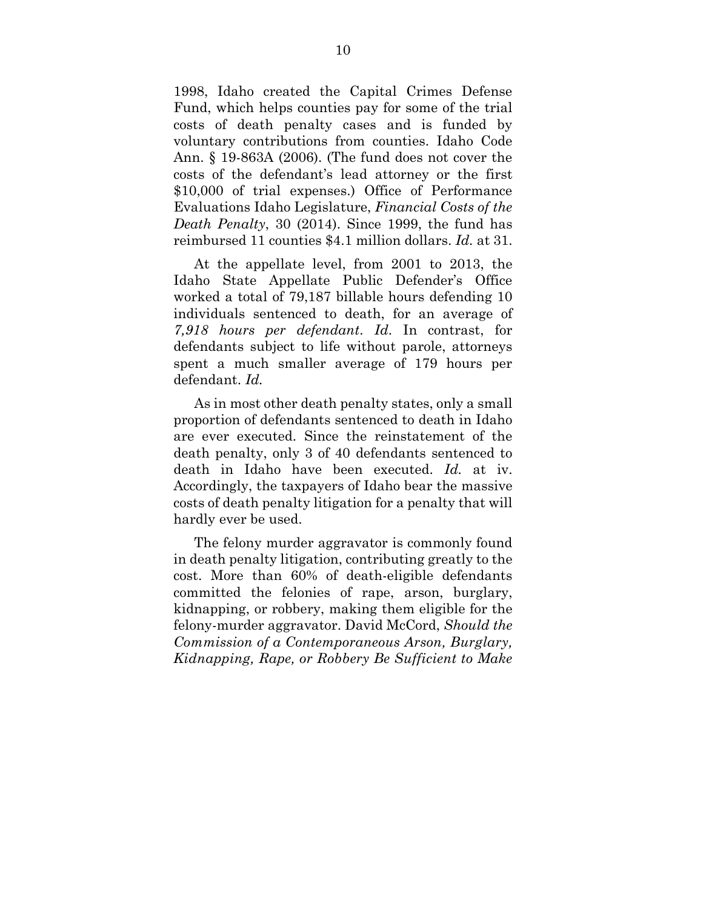1998, Idaho created the Capital Crimes Defense Fund, which helps counties pay for some of the trial costs of death penalty cases and is funded by voluntary contributions from counties. Idaho Code Ann. § 19-863A (2006). (The fund does not cover the costs of the defendant's lead attorney or the first \$10,000 of trial expenses.) Office of Performance Evaluations Idaho Legislature, *Financial Costs of the Death Penalty*, 30 (2014). Since 1999, the fund has reimbursed 11 counties \$4.1 million dollars. *Id.* at 31.

At the appellate level, from 2001 to 2013, the Idaho State Appellate Public Defender's Office worked a total of 79,187 billable hours defending 10 individuals sentenced to death, for an average of *7,918 hours per defendant*. *Id*. In contrast, for defendants subject to life without parole, attorneys spent a much smaller average of 179 hours per defendant. *Id.* 

As in most other death penalty states, only a small proportion of defendants sentenced to death in Idaho are ever executed. Since the reinstatement of the death penalty, only 3 of 40 defendants sentenced to death in Idaho have been executed. *Id.* at iv. Accordingly, the taxpayers of Idaho bear the massive costs of death penalty litigation for a penalty that will hardly ever be used.

 The felony murder aggravator is commonly found in death penalty litigation, contributing greatly to the cost. More than 60% of death-eligible defendants committed the felonies of rape, arson, burglary, kidnapping, or robbery, making them eligible for the felony-murder aggravator. David McCord, *Should the Commission of a Contemporaneous Arson, Burglary, Kidnapping, Rape, or Robbery Be Sufficient to Make*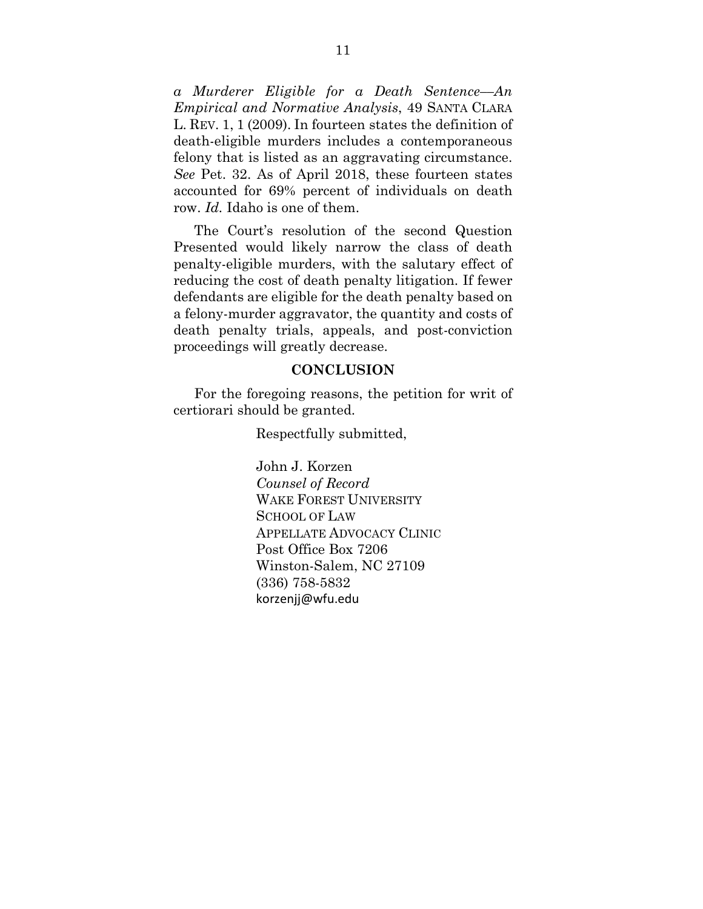*a Murderer Eligible for a Death Sentence––An Empirical and Normative Analysis*, 49 SANTA CLARA L. REV. 1, 1 (2009). In fourteen states the definition of death-eligible murders includes a contemporaneous felony that is listed as an aggravating circumstance. *See* Pet. 32. As of April 2018, these fourteen states accounted for 69% percent of individuals on death row. *Id.* Idaho is one of them.

The Court's resolution of the second Question Presented would likely narrow the class of death penalty-eligible murders, with the salutary effect of reducing the cost of death penalty litigation. If fewer defendants are eligible for the death penalty based on a felony-murder aggravator, the quantity and costs of death penalty trials, appeals, and post-conviction proceedings will greatly decrease.

#### **CONCLUSION**

For the foregoing reasons, the petition for writ of certiorari should be granted.

Respectfully submitted,

John J. Korzen *Counsel of Record* WAKE FOREST UNIVERSITY SCHOOL OF LAW APPELLATE ADVOCACY CLINIC Post Office Box 7206 Winston-Salem, NC 27109 (336) 758-5832 korzenjj@wfu.edu